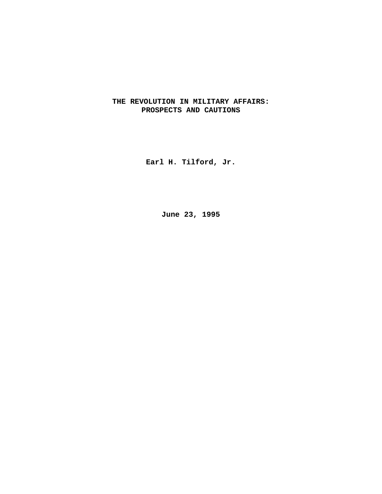# **THE REVOLUTION IN MILITARY AFFAIRS: PROSPECTS AND CAUTIONS**

**Earl H. Tilford, Jr.**

**June 23, 1995**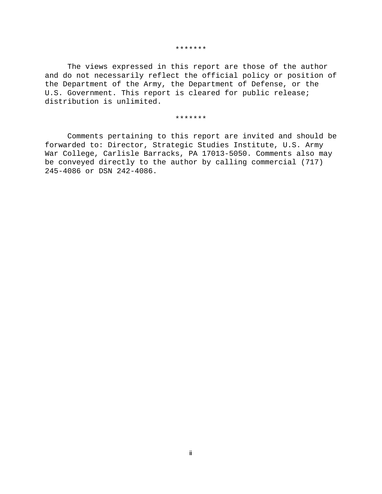#### \*\*\*\*\*\*\*

The views expressed in this report are those of the author and do not necessarily reflect the official policy or position of the Department of the Army, the Department of Defense, or the U.S. Government. This report is cleared for public release; distribution is unlimited.

#### \*\*\*\*\*\*\*

Comments pertaining to this report are invited and should be forwarded to: Director, Strategic Studies Institute, U.S. Army War College, Carlisle Barracks, PA 17013-5050. Comments also may be conveyed directly to the author by calling commercial (717) 245-4086 or DSN 242-4086.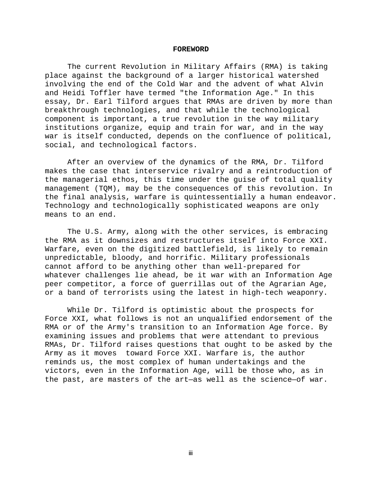#### **FOREWORD**

The current Revolution in Military Affairs (RMA) is taking place against the background of a larger historical watershed involving the end of the Cold War and the advent of what Alvin and Heidi Toffler have termed "the Information Age." In this essay, Dr. Earl Tilford argues that RMAs are driven by more than breakthrough technologies, and that while the technological component is important, a true revolution in the way military institutions organize, equip and train for war, and in the way war is itself conducted, depends on the confluence of political, social, and technological factors.

After an overview of the dynamics of the RMA, Dr. Tilford makes the case that interservice rivalry and a reintroduction of the managerial ethos, this time under the guise of total quality management (TQM), may be the consequences of this revolution. In the final analysis, warfare is quintessentially a human endeavor. Technology and technologically sophisticated weapons are only means to an end.

The U.S. Army, along with the other services, is embracing the RMA as it downsizes and restructures itself into Force XXI. Warfare, even on the digitized battlefield, is likely to remain unpredictable, bloody, and horrific. Military professionals cannot afford to be anything other than well-prepared for whatever challenges lie ahead, be it war with an Information Age peer competitor, a force of guerrillas out of the Agrarian Age, or a band of terrorists using the latest in high-tech weaponry.

While Dr. Tilford is optimistic about the prospects for Force XXI, what follows is not an unqualified endorsement of the RMA or of the Army's transition to an Information Age force. By examining issues and problems that were attendant to previous RMAs, Dr. Tilford raises questions that ought to be asked by the Army as it moves toward Force XXI. Warfare is, the author reminds us, the most complex of human undertakings and the victors, even in the Information Age, will be those who, as in the past, are masters of the art—as well as the science—of war.

**Lill**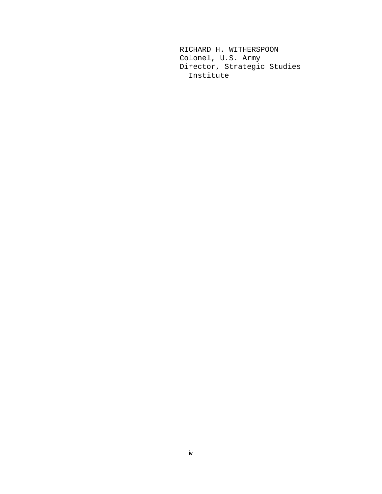RICHARD H. WITHERSPOON Colonel, U.S. Army Director, Strategic Studies Institute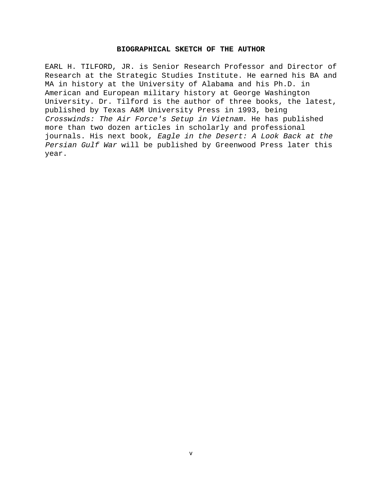#### **BIOGRAPHICAL SKETCH OF THE AUTHOR**

EARL H. TILFORD, JR. is Senior Research Professor and Director of Research at the Strategic Studies Institute. He earned his BA and MA in history at the University of Alabama and his Ph.D. in American and European military history at George Washington University. Dr. Tilford is the author of three books, the latest, published by Texas A&M University Press in 1993, being Crosswinds: The Air Force's Setup in Vietnam. He has published more than two dozen articles in scholarly and professional journals. His next book, Eagle in the Desert: A Look Back at the Persian Gulf War will be published by Greenwood Press later this year.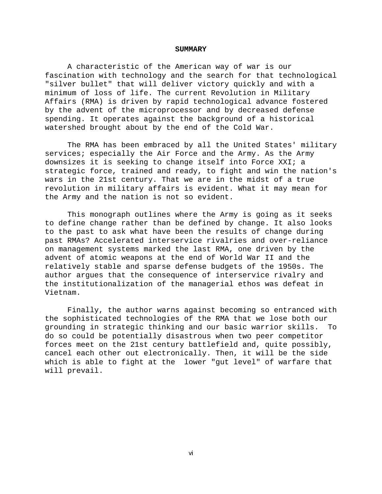#### **SUMMARY**

A characteristic of the American way of war is our fascination with technology and the search for that technological "silver bullet" that will deliver victory quickly and with a minimum of loss of life. The current Revolution in Military Affairs (RMA) is driven by rapid technological advance fostered by the advent of the microprocessor and by decreased defense spending. It operates against the background of a historical watershed brought about by the end of the Cold War.

The RMA has been embraced by all the United States' military services; especially the Air Force and the Army. As the Army downsizes it is seeking to change itself into Force XXI; a strategic force, trained and ready, to fight and win the nation's wars in the 21st century. That we are in the midst of a true revolution in military affairs is evident. What it may mean for the Army and the nation is not so evident.

This monograph outlines where the Army is going as it seeks to define change rather than be defined by change. It also looks to the past to ask what have been the results of change during past RMAs? Accelerated interservice rivalries and over-reliance on management systems marked the last RMA, one driven by the advent of atomic weapons at the end of World War II and the relatively stable and sparse defense budgets of the 1950s. The author argues that the consequence of interservice rivalry and the institutionalization of the managerial ethos was defeat in Vietnam.

Finally, the author warns against becoming so entranced with the sophisticated technologies of the RMA that we lose both our grounding in strategic thinking and our basic warrior skills. To do so could be potentially disastrous when two peer competitor forces meet on the 21st century battlefield and, quite possibly, cancel each other out electronically. Then, it will be the side which is able to fight at the lower "gut level" of warfare that will prevail.

vi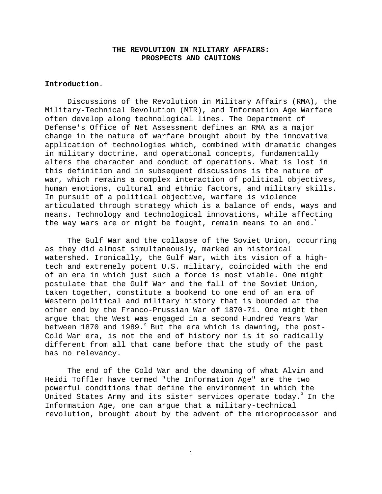# **THE REVOLUTION IN MILITARY AFFAIRS: PROSPECTS AND CAUTIONS**

# **Introduction**.

Discussions of the Revolution in Military Affairs (RMA), the Military-Technical Revolution (MTR), and Information Age Warfare often develop along technological lines. The Department of Defense's Office of Net Assessment defines an RMA as a major change in the nature of warfare brought about by the innovative application of technologies which, combined with dramatic changes in military doctrine, and operational concepts, fundamentally alters the character and conduct of operations. What is lost in this definition and in subsequent discussions is the nature of war, which remains a complex interaction of political objectives, human emotions, cultural and ethnic factors, and military skills. In pursuit of a political objective, warfare is violence articulated through strategy which is a balance of ends, ways and means. Technology and technological innovations, while affecting the way wars are or might be fought, remain means to an end.<sup>1</sup>

The Gulf War and the collapse of the Soviet Union, occurring as they did almost simultaneously, marked an historical watershed. Ironically, the Gulf War, with its vision of a hightech and extremely potent U.S. military, coincided with the end of an era in which just such a force is most viable. One might postulate that the Gulf War and the fall of the Soviet Union, taken together, constitute a bookend to one end of an era of Western political and military history that is bounded at the other end by the Franco-Prussian War of 1870-71. One might then argue that the West was engaged in a second Hundred Years War between  $1870$  and  $1989.^\text{\textdegree}$  But the era which is dawning, the post-Cold War era, is not the end of history nor is it so radically different from all that came before that the study of the past has no relevancy.

The end of the Cold War and the dawning of what Alvin and Heidi Toffler have termed "the Information Age" are the two powerful conditions that define the environment in which the United States Army and its sister services operate today. $^{\text{3}}$  In the Information Age, one can argue that a military-technical revolution, brought about by the advent of the microprocessor and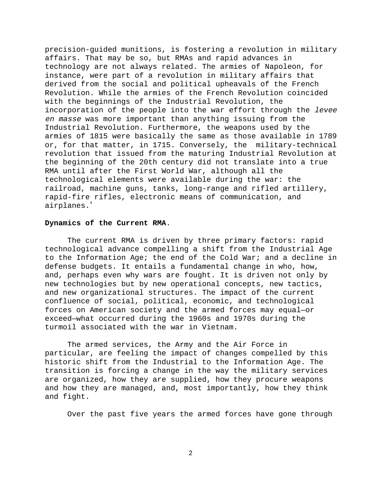precision-guided munitions, is fostering a revolution in military affairs. That may be so, but RMAs and rapid advances in technology are not always related. The armies of Napoleon, for instance, were part of a revolution in military affairs that derived from the social and political upheavals of the French Revolution. While the armies of the French Revolution coincided with the beginnings of the Industrial Revolution, the incorporation of the people into the war effort through the levee en masse was more important than anything issuing from the Industrial Revolution. Furthermore, the weapons used by the armies of 1815 were basically the same as those available in 1789 or, for that matter, in 1715. Conversely, the military-technical revolution that issued from the maturing Industrial Revolution at the beginning of the 20th century did not translate into a true RMA until after the First World War, although all the technological elements were available during the war: the railroad, machine guns, tanks, long-range and rifled artillery, rapid-fire rifles, electronic means of communication, and airplanes.<sup>4</sup>

# **Dynamics of the Current RMA**.

The current RMA is driven by three primary factors: rapid technological advance compelling a shift from the Industrial Age to the Information Age; the end of the Cold War; and a decline in defense budgets. It entails a fundamental change in who, how, and, perhaps even why wars are fought. It is driven not only by new technologies but by new operational concepts, new tactics, and new organizational structures. The impact of the current confluence of social, political, economic, and technological forces on American society and the armed forces may equal—or exceed—what occurred during the 1960s and 1970s during the turmoil associated with the war in Vietnam.

The armed services, the Army and the Air Force in particular, are feeling the impact of changes compelled by this historic shift from the Industrial to the Information Age. The transition is forcing a change in the way the military services are organized, how they are supplied, how they procure weapons and how they are managed, and, most importantly, how they think and fight.

Over the past five years the armed forces have gone through

 $\overline{2}$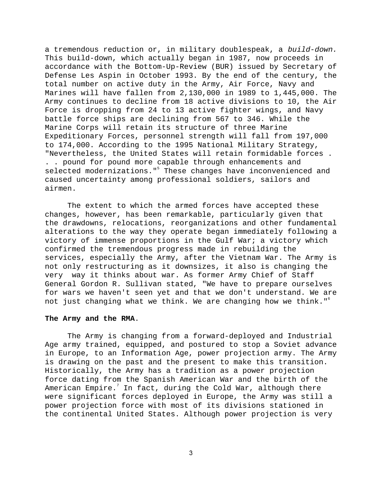a tremendous reduction or, in military doublespeak, a build-down. This build-down, which actually began in 1987, now proceeds in accordance with the Bottom-Up-Review (BUR) issued by Secretary of Defense Les Aspin in October 1993. By the end of the century, the total number on active duty in the Army, Air Force, Navy and Marines will have fallen from 2,130,000 in 1989 to 1,445,000. The Army continues to decline from 18 active divisions to 10, the Air Force is dropping from 24 to 13 active fighter wings, and Navy battle force ships are declining from 567 to 346. While the Marine Corps will retain its structure of three Marine Expeditionary Forces, personnel strength will fall from 197,000 to 174,000. According to the 1995 National Military Strategy, "Nevertheless, the United States will retain formidable forces . . . pound for pound more capable through enhancements and selected modernizations."<sup>5</sup> These changes have inconvenienced and caused uncertainty among professional soldiers, sailors and airmen.

The extent to which the armed forces have accepted these changes, however, has been remarkable, particularly given that the drawdowns, relocations, reorganizations and other fundamental alterations to the way they operate began immediately following a victory of immense proportions in the Gulf War; a victory which confirmed the tremendous progress made in rebuilding the services, especially the Army, after the Vietnam War. The Army is not only restructuring as it downsizes, it also is changing the very way it thinks about war. As former Army Chief of Staff General Gordon R. Sullivan stated, "We have to prepare ourselves for wars we haven't seen yet and that we don't understand. We are not just changing what we think. We are changing how we think."<sup>6</sup>

#### **The Army and the RMA**.

The Army is changing from a forward-deployed and Industrial Age army trained, equipped, and postured to stop a Soviet advance in Europe, to an Information Age, power projection army. The Army is drawing on the past and the present to make this transition. Historically, the Army has a tradition as a power projection force dating from the Spanish American War and the birth of the American Empire. $^7$  In fact, during the Cold War, although there were significant forces deployed in Europe, the Army was still a power projection force with most of its divisions stationed in the continental United States. Although power projection is very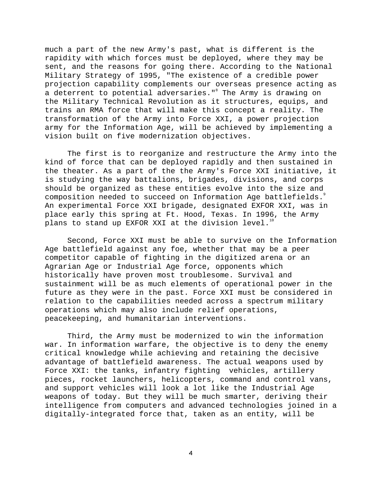much a part of the new Army's past, what is different is the rapidity with which forces must be deployed, where they may be sent, and the reasons for going there. According to the National Military Strategy of 1995, "The existence of a credible power projection capability complements our overseas presence acting as a deterrent to potential adversaries." $^{\circ}$  The Army is drawing on the Military Technical Revolution as it structures, equips, and trains an RMA force that will make this concept a reality. The transformation of the Army into Force XXI, a power projection army for the Information Age, will be achieved by implementing a vision built on five modernization objectives.

The first is to reorganize and restructure the Army into the kind of force that can be deployed rapidly and then sustained in the theater. As a part of the the Army's Force XXI initiative, it is studying the way battalions, brigades, divisions, and corps should be organized as these entities evolve into the size and composition needed to succeed on Information Age battlefields. An experimental Force XXI brigade, designated EXFOR XXI, was in place early this spring at Ft. Hood, Texas. In 1996, the Army plans to stand up EXFOR XXI at the division level.<sup>10</sup>

Second, Force XXI must be able to survive on the Information Age battlefield against any foe, whether that may be a peer competitor capable of fighting in the digitized arena or an Agrarian Age or Industrial Age force, opponents which historically have proven most troublesome. Survival and sustainment will be as much elements of operational power in the future as they were in the past. Force XXI must be considered in relation to the capabilities needed across a spectrum military operations which may also include relief operations, peacekeeping, and humanitarian interventions.

Third, the Army must be modernized to win the information war. In information warfare, the objective is to deny the enemy critical knowledge while achieving and retaining the decisive advantage of battlefield awareness. The actual weapons used by Force XXI: the tanks, infantry fighting vehicles, artillery pieces, rocket launchers, helicopters, command and control vans, and support vehicles will look a lot like the Industrial Age weapons of today. But they will be much smarter, deriving their intelligence from computers and advanced technologies joined in a digitally-integrated force that, taken as an entity, will be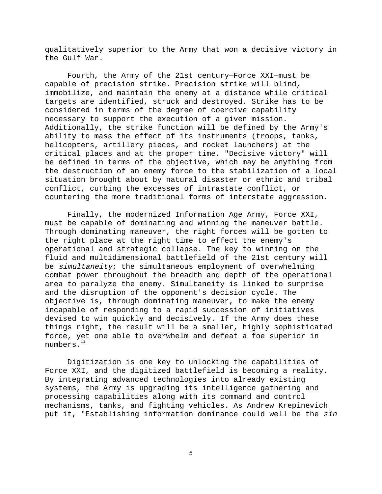qualitatively superior to the Army that won a decisive victory in the Gulf War.

Fourth, the Army of the 21st century—Force XXI—must be capable of precision strike. Precision strike will blind, immobilize, and maintain the enemy at a distance while critical targets are identified, struck and destroyed. Strike has to be considered in terms of the degree of coercive capability necessary to support the execution of a given mission. Additionally, the strike function will be defined by the Army's ability to mass the effect of its instruments (troops, tanks, helicopters, artillery pieces, and rocket launchers) at the critical places and at the proper time. "Decisive victory" will be defined in terms of the objective, which may be anything from the destruction of an enemy force to the stabilization of a local situation brought about by natural disaster or ethnic and tribal conflict, curbing the excesses of intrastate conflict, or countering the more traditional forms of interstate aggression.

Finally, the modernized Information Age Army, Force XXI, must be capable of dominating and winning the maneuver battle. Through dominating maneuver, the right forces will be gotten to the right place at the right time to effect the enemy's operational and strategic collapse. The key to winning on the fluid and multidimensional battlefield of the 21st century will be simultaneity; the simultaneous employment of overwhelming combat power throughout the breadth and depth of the operational area to paralyze the enemy. Simultaneity is linked to surprise and the disruption of the opponent's decision cycle. The objective is, through dominating maneuver, to make the enemy incapable of responding to a rapid succession of initiatives devised to win quickly and decisively. If the Army does these things right, the result will be a smaller, highly sophisticated force, yet one able to overwhelm and defeat a foe superior in numbers.<sup>11</sup>

Digitization is one key to unlocking the capabilities of Force XXI, and the digitized battlefield is becoming a reality. By integrating advanced technologies into already existing systems, the Army is upgrading its intelligence gathering and processing capabilities along with its command and control mechanisms, tanks, and fighting vehicles. As Andrew Krepinevich put it, "Establishing information dominance could well be the sin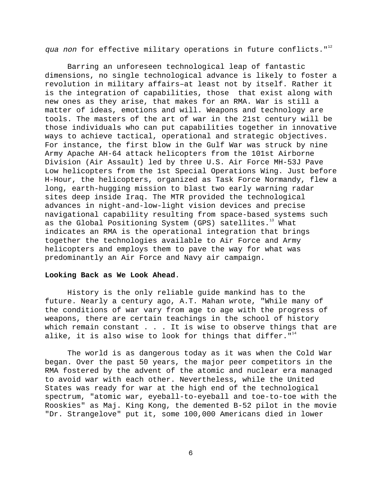qua non for effective military operations in future conflicts.  $"$ 

Barring an unforeseen technological leap of fantastic dimensions, no single technological advance is likely to foster a revolution in military affairs–at least not by itself. Rather it is the integration of capabilities, those that exist along with new ones as they arise, that makes for an RMA. War is still a matter of ideas, emotions and will. Weapons and technology are tools. The masters of the art of war in the 21st century will be those individuals who can put capabilities together in innovative ways to achieve tactical, operational and strategic objectives. For instance, the first blow in the Gulf War was struck by nine Army Apache AH-64 attack helicopters from the 101st Airborne Division (Air Assault) led by three U.S. Air Force MH-53J Pave Low helicopters from the 1st Special Operations Wing. Just before H-Hour, the helicopters, organized as Task Force Normandy, flew a long, earth-hugging mission to blast two early warning radar sites deep inside Iraq. The MTR provided the technological advances in night-and-low-light vision devices and precise navigational capability resulting from space-based systems such as the Global Positioning System (GPS) satellites.<sup>13</sup> What indicates an RMA is the operational integration that brings together the technologies available to Air Force and Army helicopters and employs them to pave the way for what was predominantly an Air Force and Navy air campaign.

### **Looking Back as We Look Ahead**.

History is the only reliable guide mankind has to the future. Nearly a century ago, A.T. Mahan wrote, "While many of the conditions of war vary from age to age with the progress of weapons, there are certain teachings in the school of history which remain constant  $\ldots$  . It is wise to observe things that are alike, it is also wise to look for things that differ.  $"$ <sup>14</sup>

The world is as dangerous today as it was when the Cold War began. Over the past 50 years, the major peer competitors in the RMA fostered by the advent of the atomic and nuclear era managed to avoid war with each other. Nevertheless, while the United States was ready for war at the high end of the technological spectrum, "atomic war, eyeball-to-eyeball and toe-to-toe with the Rooskies" as Maj. King Kong, the demented B-52 pilot in the movie "Dr. Strangelove" put it, some 100,000 Americans died in lower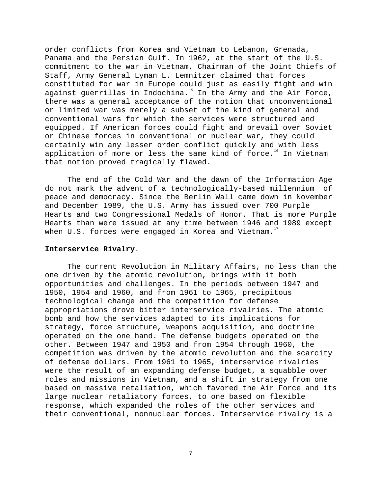order conflicts from Korea and Vietnam to Lebanon, Grenada, Panama and the Persian Gulf. In 1962, at the start of the U.S. commitment to the war in Vietnam, Chairman of the Joint Chiefs of Staff, Army General Lyman L. Lemnitzer claimed that forces constituted for war in Europe could just as easily fight and win against guerrillas in Indochina. $15$  In the Army and the Air Force, there was a general acceptance of the notion that unconventional or limited war was merely a subset of the kind of general and conventional wars for which the services were structured and equipped. If American forces could fight and prevail over Soviet or Chinese forces in conventional or nuclear war, they could certainly win any lesser order conflict quickly and with less application of more or less the same kind of force.<sup>16</sup> In Vietnam that notion proved tragically flawed.

The end of the Cold War and the dawn of the Information Age do not mark the advent of a technologically-based millennium of peace and democracy. Since the Berlin Wall came down in November and December 1989, the U.S. Army has issued over 700 Purple Hearts and two Congressional Medals of Honor. That is more Purple Hearts than were issued at any time between 1946 and 1989 except when U.S. forces were engaged in Korea and Vietnam.<sup>17</sup>

# **Interservice Rivalry**.

The current Revolution in Military Affairs, no less than the one driven by the atomic revolution, brings with it both opportunities and challenges. In the periods between 1947 and 1950, 1954 and 1960, and from 1961 to 1965, precipitous technological change and the competition for defense appropriations drove bitter interservice rivalries. The atomic bomb and how the services adapted to its implications for strategy, force structure, weapons acquisition, and doctrine operated on the one hand. The defense budgets operated on the other. Between 1947 and 1950 and from 1954 through 1960, the competition was driven by the atomic revolution and the scarcity of defense dollars. From 1961 to 1965, interservice rivalries were the result of an expanding defense budget, a squabble over roles and missions in Vietnam, and a shift in strategy from one based on massive retaliation, which favored the Air Force and its large nuclear retaliatory forces, to one based on flexible response, which expanded the roles of the other services and their conventional, nonnuclear forces. Interservice rivalry is a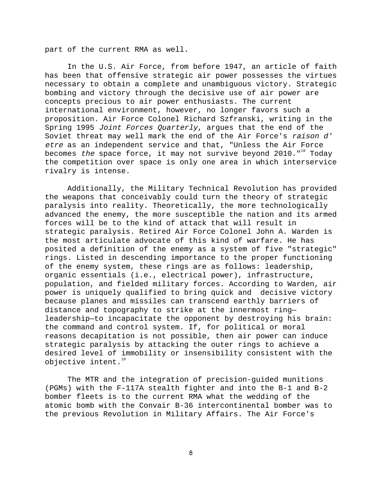part of the current RMA as well.

In the U.S. Air Force, from before 1947, an article of faith has been that offensive strategic air power possesses the virtues necessary to obtain a complete and unambiguous victory. Strategic bombing and victory through the decisive use of air power are concepts precious to air power enthusiasts. The current international environment, however, no longer favors such a proposition. Air Force Colonel Richard Szfranski, writing in the Spring 1995 Joint Forces Quarterly, argues that the end of the Soviet threat may well mark the end of the Air Force's raison d' etre as an independent service and that, "Unless the Air Force becomes the space force, it may not survive beyond  $2010.^{\circ}$  Today the competition over space is only one area in which interservice rivalry is intense.

Additionally, the Military Technical Revolution has provided the weapons that conceivably could turn the theory of strategic paralysis into reality. Theoretically, the more technologically advanced the enemy, the more susceptible the nation and its armed forces will be to the kind of attack that will result in strategic paralysis. Retired Air Force Colonel John A. Warden is the most articulate advocate of this kind of warfare. He has posited a definition of the enemy as a system of five "strategic" rings. Listed in descending importance to the proper functioning of the enemy system, these rings are as follows: leadership, organic essentials (i.e., electrical power), infrastructure, population, and fielded military forces. According to Warden, air power is uniquely qualified to bring quick and decisive victory because planes and missiles can transcend earthly barriers of distance and topography to strike at the innermost ring leadership—to incapacitate the opponent by destroying his brain: the command and control system. If, for political or moral reasons decapitation is not possible, then air power can induce strategic paralysis by attacking the outer rings to achieve a desired level of immobility or insensibility consistent with the objective intent.<sup>19</sup>

The MTR and the integration of precision-guided munitions (PGMs) with the F-117A stealth fighter and into the B-1 and B-2 bomber fleets is to the current RMA what the wedding of the atomic bomb with the Convair B-36 intercontinental bomber was to the previous Revolution in Military Affairs. The Air Force's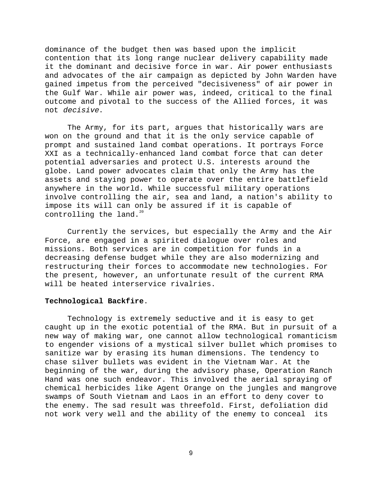dominance of the budget then was based upon the implicit contention that its long range nuclear delivery capability made it the dominant and decisive force in war. Air power enthusiasts and advocates of the air campaign as depicted by John Warden have gained impetus from the perceived "decisiveness" of air power in the Gulf War. While air power was, indeed, critical to the final outcome and pivotal to the success of the Allied forces, it was not decisive.

The Army, for its part, argues that historically wars are won on the ground and that it is the only service capable of prompt and sustained land combat operations. It portrays Force XXI as a technically-enhanced land combat force that can deter potential adversaries and protect U.S. interests around the globe. Land power advocates claim that only the Army has the assets and staying power to operate over the entire battlefield anywhere in the world. While successful military operations involve controlling the air, sea and land, a nation's ability to impose its will can only be assured if it is capable of controlling the land. $20$ 

Currently the services, but especially the Army and the Air Force, are engaged in a spirited dialogue over roles and missions. Both services are in competition for funds in a decreasing defense budget while they are also modernizing and restructuring their forces to accommodate new technologies. For the present, however, an unfortunate result of the current RMA will be heated interservice rivalries.

# **Technological Backfire**.

Technology is extremely seductive and it is easy to get caught up in the exotic potential of the RMA. But in pursuit of a new way of making war, one cannot allow technological romanticism to engender visions of a mystical silver bullet which promises to sanitize war by erasing its human dimensions. The tendency to chase silver bullets was evident in the Vietnam War. At the beginning of the war, during the advisory phase, Operation Ranch Hand was one such endeavor. This involved the aerial spraying of chemical herbicides like Agent Orange on the jungles and mangrove swamps of South Vietnam and Laos in an effort to deny cover to the enemy. The sad result was threefold. First, defoliation did not work very well and the ability of the enemy to conceal its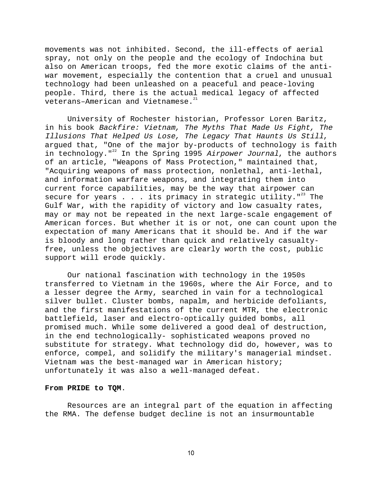movements was not inhibited. Second, the ill-effects of aerial spray, not only on the people and the ecology of Indochina but also on American troops, fed the more exotic claims of the antiwar movement, especially the contention that a cruel and unusual technology had been unleashed on a peaceful and peace-loving people. Third, there is the actual medical legacy of affected veterans-American and Vietnamese.<sup>21</sup>

University of Rochester historian, Professor Loren Baritz, in his book Backfire: Vietnam, The Myths That Made Us Fight, The Illusions That Helped Us Lose, The Legacy That Haunts Us Still, argued that, "One of the major by-products of technology is faith in technology."<sup>22</sup> In the Spring 1995 Airpower Journal, the authors of an article, "Weapons of Mass Protection," maintained that, "Acquiring weapons of mass protection, nonlethal, anti-lethal, and information warfare weapons, and integrating them into current force capabilities, may be the way that airpower can secure for years  $\ldots$  its primacy in strategic utility."<sup>23</sup> The Gulf War, with the rapidity of victory and low casualty rates, may or may not be repeated in the next large-scale engagement of American forces. But whether it is or not, one can count upon the expectation of many Americans that it should be. And if the war is bloody and long rather than quick and relatively casualtyfree, unless the objectives are clearly worth the cost, public support will erode quickly.

Our national fascination with technology in the 1950s transferred to Vietnam in the 1960s, where the Air Force, and to a lesser degree the Army, searched in vain for a technological silver bullet. Cluster bombs, napalm, and herbicide defoliants, and the first manifestations of the current MTR, the electronic battlefield, laser and electro-optically guided bombs, all promised much. While some delivered a good deal of destruction, in the end technologically- sophisticated weapons proved no substitute for strategy. What technology did do, however, was to enforce, compel, and solidify the military's managerial mindset. Vietnam was the best-managed war in American history; unfortunately it was also a well-managed defeat.

# **From PRIDE to TQM**.

Resources are an integral part of the equation in affecting the RMA. The defense budget decline is not an insurmountable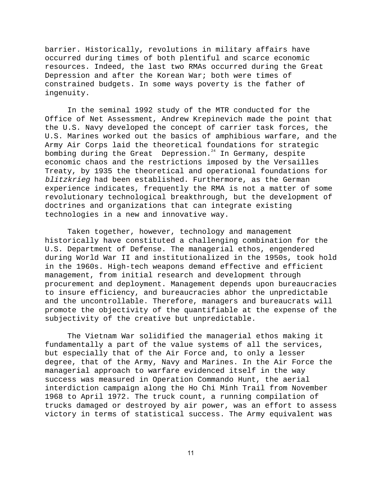barrier. Historically, revolutions in military affairs have occurred during times of both plentiful and scarce economic resources. Indeed, the last two RMAs occurred during the Great Depression and after the Korean War; both were times of constrained budgets. In some ways poverty is the father of ingenuity.

In the seminal 1992 study of the MTR conducted for the Office of Net Assessment, Andrew Krepinevich made the point that the U.S. Navy developed the concept of carrier task forces, the U.S. Marines worked out the basics of amphibious warfare, and the Army Air Corps laid the theoretical foundations for strategic bombing during the Great Depression. $24$  In Germany, despite economic chaos and the restrictions imposed by the Versailles Treaty, by 1935 the theoretical and operational foundations for blitzkrieg had been established. Furthermore, as the German experience indicates, frequently the RMA is not a matter of some revolutionary technological breakthrough, but the development of doctrines and organizations that can integrate existing technologies in a new and innovative way.

Taken together, however, technology and management historically have constituted a challenging combination for the U.S. Department of Defense. The managerial ethos, engendered during World War II and institutionalized in the 1950s, took hold in the 1960s. High-tech weapons demand effective and efficient management, from initial research and development through procurement and deployment. Management depends upon bureaucracies to insure efficiency, and bureaucracies abhor the unpredictable and the uncontrollable. Therefore, managers and bureaucrats will promote the objectivity of the quantifiable at the expense of the subjectivity of the creative but unpredictable.

The Vietnam War solidified the managerial ethos making it fundamentally a part of the value systems of all the services, but especially that of the Air Force and, to only a lesser degree, that of the Army, Navy and Marines. In the Air Force the managerial approach to warfare evidenced itself in the way success was measured in Operation Commando Hunt, the aerial interdiction campaign along the Ho Chi Minh Trail from November 1968 to April 1972. The truck count, a running compilation of trucks damaged or destroyed by air power, was an effort to assess victory in terms of statistical success. The Army equivalent was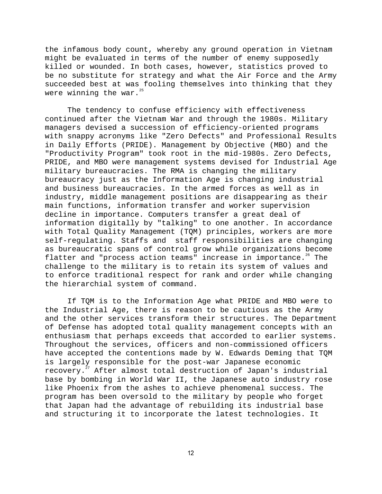the infamous body count, whereby any ground operation in Vietnam might be evaluated in terms of the number of enemy supposedly killed or wounded. In both cases, however, statistics proved to be no substitute for strategy and what the Air Force and the Army succeeded best at was fooling themselves into thinking that they were winning the war. $25$ 

The tendency to confuse efficiency with effectiveness continued after the Vietnam War and through the 1980s. Military managers devised a succession of efficiency-oriented programs with snappy acronyms like "Zero Defects" and Professional Results in Daily Efforts (PRIDE). Management by Objective (MBO) and the "Productivity Program" took root in the mid-1980s. Zero Defects, PRIDE, and MBO were management systems devised for Industrial Age military bureaucracies. The RMA is changing the military bureaucracy just as the Information Age is changing industrial and business bureaucracies. In the armed forces as well as in industry, middle management positions are disappearing as their main functions, information transfer and worker supervision decline in importance. Computers transfer a great deal of information digitally by "talking" to one another. In accordance with Total Quality Management (TQM) principles, workers are more self-regulating. Staffs and staff responsibilities are changing as bureaucratic spans of control grow while organizations become flatter and "process action teams" increase in importance.<sup>26</sup> The challenge to the military is to retain its system of values and to enforce traditional respect for rank and order while changing the hierarchial system of command.

If TQM is to the Information Age what PRIDE and MBO were to the Industrial Age, there is reason to be cautious as the Army and the other services transform their structures. The Department of Defense has adopted total quality management concepts with an enthusiasm that perhaps exceeds that accorded to earlier systems. Throughout the services, officers and non-commissioned officers have accepted the contentions made by W. Edwards Deming that TQM is largely responsible for the post-war Japanese economic recovery.27 After almost total destruction of Japan's industrial base by bombing in World War II, the Japanese auto industry rose like Phoenix from the ashes to achieve phenomenal success. The program has been oversold to the military by people who forget that Japan had the advantage of rebuilding its industrial base and structuring it to incorporate the latest technologies. It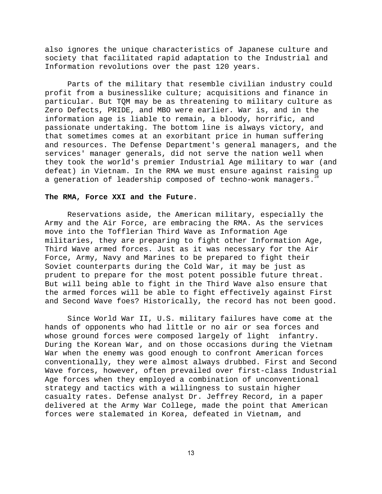also ignores the unique characteristics of Japanese culture and society that facilitated rapid adaptation to the Industrial and Information revolutions over the past 120 years.

Parts of the military that resemble civilian industry could profit from a businesslike culture; acquisitions and finance in particular. But TQM may be as threatening to military culture as Zero Defects, PRIDE, and MBO were earlier. War is, and in the information age is liable to remain, a bloody, horrific, and passionate undertaking. The bottom line is always victory, and that sometimes comes at an exorbitant price in human suffering and resources. The Defense Department's general managers, and the services' manager generals, did not serve the nation well when they took the world's premier Industrial Age military to war (and defeat) in Vietnam. In the RMA we must ensure against raising up a generation of leadership composed of techno-wonk managers.<sup>28</sup>

# **The RMA, Force XXI and the Future**.

Reservations aside, the American military, especially the Army and the Air Force, are embracing the RMA. As the services move into the Tofflerian Third Wave as Information Age militaries, they are preparing to fight other Information Age, Third Wave armed forces. Just as it was necessary for the Air Force, Army, Navy and Marines to be prepared to fight their Soviet counterparts during the Cold War, it may be just as prudent to prepare for the most potent possible future threat. But will being able to fight in the Third Wave also ensure that the armed forces will be able to fight effectively against First and Second Wave foes? Historically, the record has not been good.

Since World War II, U.S. military failures have come at the hands of opponents who had little or no air or sea forces and whose ground forces were composed largely of light infantry. During the Korean War, and on those occasions during the Vietnam War when the enemy was good enough to confront American forces conventionally, they were almost always drubbed. First and Second Wave forces, however, often prevailed over first-class Industrial Age forces when they employed a combination of unconventional strategy and tactics with a willingness to sustain higher casualty rates. Defense analyst Dr. Jeffrey Record, in a paper delivered at the Army War College, made the point that American forces were stalemated in Korea, defeated in Vietnam, and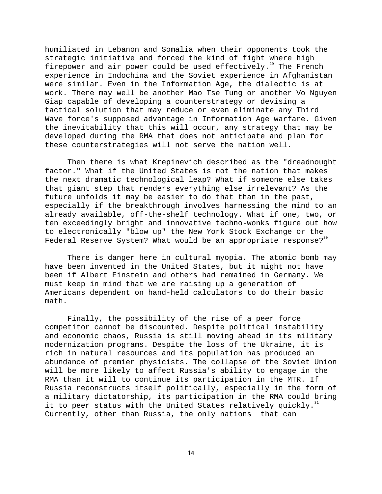humiliated in Lebanon and Somalia when their opponents took the strategic initiative and forced the kind of fight where high firepower and air power could be used effectively.<sup>29</sup> The French experience in Indochina and the Soviet experience in Afghanistan were similar. Even in the Information Age, the dialectic is at work. There may well be another Mao Tse Tung or another Vo Nguyen Giap capable of developing a counterstrategy or devising a tactical solution that may reduce or even eliminate any Third Wave force's supposed advantage in Information Age warfare. Given the inevitability that this will occur, any strategy that may be developed during the RMA that does not anticipate and plan for these counterstrategies will not serve the nation well.

Then there is what Krepinevich described as the "dreadnought factor." What if the United States is not the nation that makes the next dramatic technological leap? What if someone else takes that giant step that renders everything else irrelevant? As the future unfolds it may be easier to do that than in the past, especially if the breakthrough involves harnessing the mind to an already available, off-the-shelf technology. What if one, two, or ten exceedingly bright and innovative techno-wonks figure out how to electronically "blow up" the New York Stock Exchange or the Federal Reserve System? What would be an appropriate response?<sup>30</sup>

There is danger here in cultural myopia. The atomic bomb may have been invented in the United States, but it might not have been if Albert Einstein and others had remained in Germany. We must keep in mind that we are raising up a generation of Americans dependent on hand-held calculators to do their basic math.

Finally, the possibility of the rise of a peer force competitor cannot be discounted. Despite political instability and economic chaos, Russia is still moving ahead in its military modernization programs. Despite the loss of the Ukraine, it is rich in natural resources and its population has produced an abundance of premier physicists. The collapse of the Soviet Union will be more likely to affect Russia's ability to engage in the RMA than it will to continue its participation in the MTR. If Russia reconstructs itself politically, especially in the form of a military dictatorship, its participation in the RMA could bring it to peer status with the United States relatively quickly. $31$ Currently, other than Russia, the only nations that can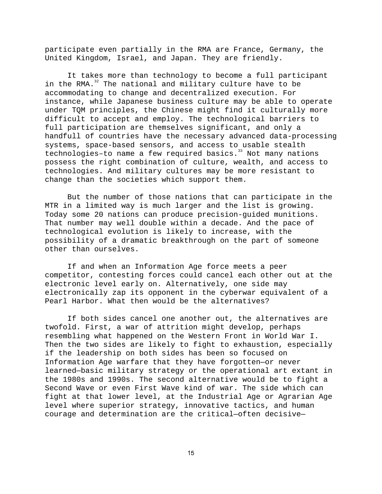participate even partially in the RMA are France, Germany, the United Kingdom, Israel, and Japan. They are friendly.

It takes more than technology to become a full participant in the RMA. $32$  The national and military culture have to be accommodating to change and decentralized execution. For instance, while Japanese business culture may be able to operate under TQM principles, the Chinese might find it culturally more difficult to accept and employ. The technological barriers to full participation are themselves significant, and only a handfull of countries have the necessary advanced data-processing systems, space-based sensors, and access to usable stealth  $technologies-to$  name a few required basics.<sup>33</sup> Not many nations possess the right combination of culture, wealth, and access to technologies. And military cultures may be more resistant to change than the societies which support them.

But the number of those nations that can participate in the MTR in a limited way is much larger and the list is growing. Today some 20 nations can produce precision-guided munitions. That number may well double within a decade. And the pace of technological evolution is likely to increase, with the possibility of a dramatic breakthrough on the part of someone other than ourselves.

If and when an Information Age force meets a peer competitor, contesting forces could cancel each other out at the electronic level early on. Alternatively, one side may electronically zap its opponent in the cyberwar equivalent of a Pearl Harbor. What then would be the alternatives?

If both sides cancel one another out, the alternatives are twofold. First, a war of attrition might develop, perhaps resembling what happened on the Western Front in World War I. Then the two sides are likely to fight to exhaustion, especially if the leadership on both sides has been so focused on Information Age warfare that they have forgotten—or never learned—basic military strategy or the operational art extant in the 1980s and 1990s. The second alternative would be to fight a Second Wave or even First Wave kind of war. The side which can fight at that lower level, at the Industrial Age or Agrarian Age level where superior strategy, innovative tactics, and human courage and determination are the critical—often decisive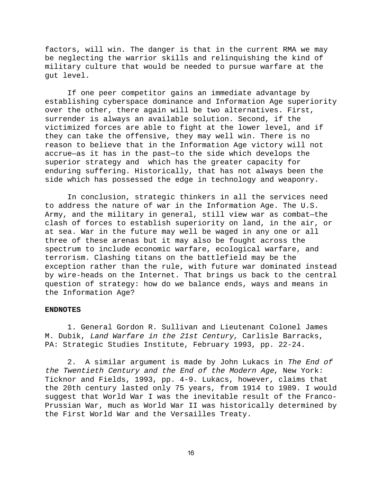factors, will win. The danger is that in the current RMA we may be neglecting the warrior skills and relinquishing the kind of military culture that would be needed to pursue warfare at the gut level.

If one peer competitor gains an immediate advantage by establishing cyberspace dominance and Information Age superiority over the other, there again will be two alternatives. First, surrender is always an available solution. Second, if the victimized forces are able to fight at the lower level, and if they can take the offensive, they may well win. There is no reason to believe that in the Information Age victory will not accrue—as it has in the past—to the side which develops the superior strategy and which has the greater capacity for enduring suffering. Historically, that has not always been the side which has possessed the edge in technology and weaponry.

In conclusion, strategic thinkers in all the services need to address the nature of war in the Information Age. The U.S. Army, and the military in general, still view war as combat—the clash of forces to establish superiority on land, in the air, or at sea. War in the future may well be waged in any one or all three of these arenas but it may also be fought across the spectrum to include economic warfare, ecological warfare, and terrorism. Clashing titans on the battlefield may be the exception rather than the rule, with future war dominated instead by wire-heads on the Internet. That brings us back to the central question of strategy: how do we balance ends, ways and means in the Information Age?

#### **ENDNOTES**

1. General Gordon R. Sullivan and Lieutenant Colonel James M. Dubik, Land Warfare in the 21st Century, Carlisle Barracks, PA: Strategic Studies Institute, February 1993, pp. 22-24.

2. A similar argument is made by John Lukacs in The End of the Twentieth Century and the End of the Modern Age, New York: Ticknor and Fields, 1993, pp. 4-9. Lukacs, however, claims that the 20th century lasted only 75 years, from 1914 to 1989. I would suggest that World War I was the inevitable result of the Franco-Prussian War, much as World War II was historically determined by the First World War and the Versailles Treaty.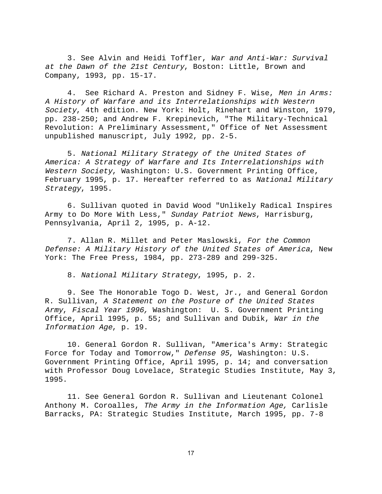3. See Alvin and Heidi Toffler, War and Anti-War: Survival at the Dawn of the 21st Century, Boston: Little, Brown and Company, 1993, pp. 15-17.

4. See Richard A. Preston and Sidney F. Wise, Men in Arms: A History of Warfare and its Interrelationships with Western Society, 4th edition. New York: Holt, Rinehart and Winston, 1979, pp. 238-250; and Andrew F. Krepinevich, "The Military-Technical Revolution: A Preliminary Assessment," Office of Net Assessment unpublished manuscript, July 1992, pp. 2-5.

5. National Military Strategy of the United States of America: A Strategy of Warfare and Its Interrelationships with Western Society, Washington: U.S. Government Printing Office, February 1995, p. 17. Hereafter referred to as National Military Strategy, 1995.

6. Sullivan quoted in David Wood "Unlikely Radical Inspires Army to Do More With Less," Sunday Patriot News, Harrisburg, Pennsylvania, April 2, 1995, p. A-12.

7. Allan R. Millet and Peter Maslowski, For the Common Defense: A Military History of the United States of America, New York: The Free Press, 1984, pp. 273-289 and 299-325.

8. National Military Strategy, 1995, p. 2.

9. See The Honorable Togo D. West, Jr., and General Gordon R. Sullivan, A Statement on the Posture of the United States Army, Fiscal Year 1996, Washington: U. S. Government Printing Office, April 1995, p. 55; and Sullivan and Dubik, War in the Information Age, p. 19.

10. General Gordon R. Sullivan, "America's Army: Strategic Force for Today and Tomorrow," Defense 95, Washington: U.S. Government Printing Office, April 1995, p. 14; and conversation with Professor Doug Lovelace, Strategic Studies Institute, May 3, 1995.

11. See General Gordon R. Sullivan and Lieutenant Colonel Anthony M. Coroalles, The Army in the Information Age, Carlisle Barracks, PA: Strategic Studies Institute, March 1995, pp. 7-8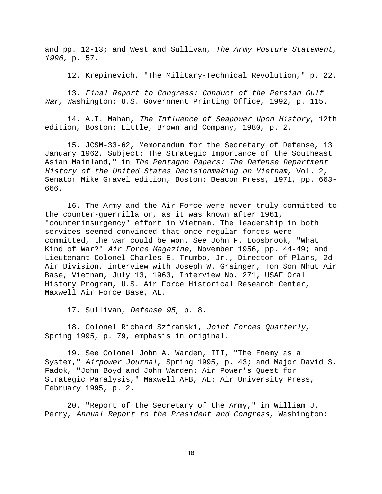and pp. 12-13; and West and Sullivan, The Army Posture Statement, 1996, p. 57.

12. Krepinevich, "The Military-Technical Revolution," p. 22.

13. Final Report to Congress: Conduct of the Persian Gulf War, Washington: U.S. Government Printing Office, 1992, p. 115.

14. A.T. Mahan, The Influence of Seapower Upon History, 12th edition, Boston: Little, Brown and Company, 1980, p. 2.

15. JCSM-33-62, Memorandum for the Secretary of Defense, 13 January 1962, Subject: The Strategic Importance of the Southeast Asian Mainland," in The Pentagon Papers: The Defense Department History of the United States Decisionmaking on Vietnam, Vol. 2, Senator Mike Gravel edition, Boston: Beacon Press, 1971, pp. 663- 666.

16. The Army and the Air Force were never truly committed to the counter-guerrilla or, as it was known after 1961, "counterinsurgency" effort in Vietnam. The leadership in both services seemed convinced that once regular forces were committed, the war could be won. See John F. Loosbrook, "What Kind of War?" Air Force Magazine, November 1956, pp. 44-49; and Lieutenant Colonel Charles E. Trumbo, Jr., Director of Plans, 2d Air Division, interview with Joseph W. Grainger, Ton Son Nhut Air Base, Vietnam, July 13, 1963, Interview No. 271, USAF Oral History Program, U.S. Air Force Historical Research Center, Maxwell Air Force Base, AL.

17. Sullivan, Defense 95, p. 8.

18. Colonel Richard Szfranski, Joint Forces Quarterly, Spring 1995, p. 79, emphasis in original.

19. See Colonel John A. Warden, III, "The Enemy as a System," Airpower Journal, Spring 1995, p. 43; and Major David S. Fadok, "John Boyd and John Warden: Air Power's Quest for Strategic Paralysis," Maxwell AFB, AL: Air University Press, February 1995, p. 2.

20. "Report of the Secretary of the Army," in William J. Perry, Annual Report to the President and Congress, Washington: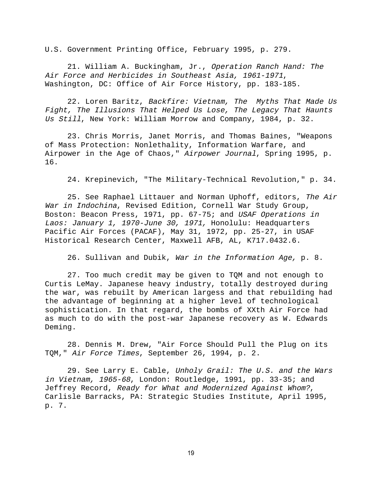U.S. Government Printing Office, February 1995, p. 279.

21. William A. Buckingham, Jr., Operation Ranch Hand: The Air Force and Herbicides in Southeast Asia, 1961-1971, Washington, DC: Office of Air Force History, pp. 183-185.

22. Loren Baritz, Backfire: Vietnam, The Myths That Made Us Fight, The Illusions That Helped Us Lose, The Legacy That Haunts Us Still, New York: William Morrow and Company, 1984, p. 32.

23. Chris Morris, Janet Morris, and Thomas Baines, "Weapons of Mass Protection: Nonlethality, Information Warfare, and Airpower in the Age of Chaos," Airpower Journal, Spring 1995, p. 16.

24. Krepinevich, "The Military-Technical Revolution," p. 34.

25. See Raphael Littauer and Norman Uphoff, editors, The Air War in Indochina, Revised Edition, Cornell War Study Group, Boston: Beacon Press, 1971, pp. 67-75; and USAF Operations in Laos: January 1, 1970-June 30, 1971, Honolulu: Headquarters Pacific Air Forces (PACAF), May 31, 1972, pp. 25-27, in USAF Historical Research Center, Maxwell AFB, AL, K717.0432.6.

26. Sullivan and Dubik, War in the Information Age, p. 8.

27. Too much credit may be given to TQM and not enough to Curtis LeMay. Japanese heavy industry, totally destroyed during the war, was rebuilt by American largess and that rebuilding had the advantage of beginning at a higher level of technological sophistication. In that regard, the bombs of XXth Air Force had as much to do with the post-war Japanese recovery as W. Edwards Deming.

28. Dennis M. Drew, "Air Force Should Pull the Plug on its TQM," Air Force Times, September 26, 1994, p. 2.

29. See Larry E. Cable, Unholy Grail: The U.S. and the Wars in Vietnam, 1965-68, London: Routledge, 1991, pp. 33-35; and Jeffrey Record, Ready for What and Modernized Against Whom?, Carlisle Barracks, PA: Strategic Studies Institute, April 1995, p. 7.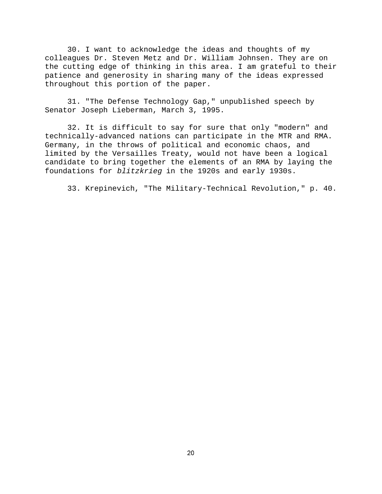30. I want to acknowledge the ideas and thoughts of my colleagues Dr. Steven Metz and Dr. William Johnsen. They are on the cutting edge of thinking in this area. I am grateful to their patience and generosity in sharing many of the ideas expressed throughout this portion of the paper.

31. "The Defense Technology Gap," unpublished speech by Senator Joseph Lieberman, March 3, 1995.

32. It is difficult to say for sure that only "modern" and technically-advanced nations can participate in the MTR and RMA. Germany, in the throws of political and economic chaos, and limited by the Versailles Treaty, would not have been a logical candidate to bring together the elements of an RMA by laying the foundations for blitzkrieg in the 1920s and early 1930s.

33. Krepinevich, "The Military-Technical Revolution," p. 40.